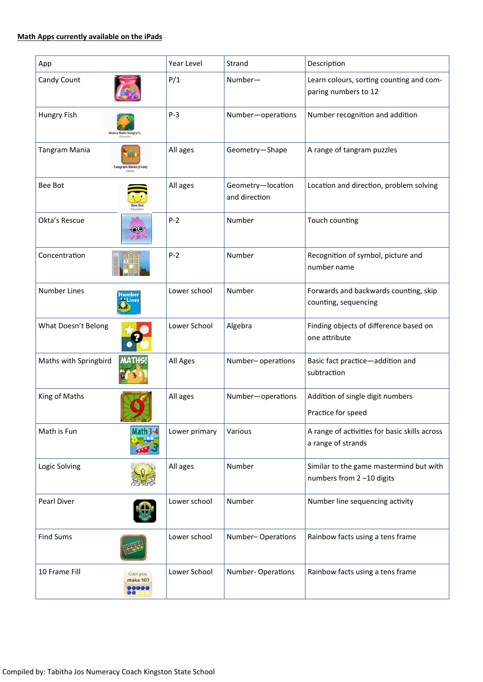## **Math Apps currently available on the iPads**

| App                                                        | Year Level    | Strand                             | Description                                                         |
|------------------------------------------------------------|---------------|------------------------------------|---------------------------------------------------------------------|
| Candy Count                                                | P/1           | Number-                            | Learn colours, sorting counting and com-<br>paring numbers to 12    |
| Hungry Fish                                                | $P-3$         | Number-operations                  | Number recognition and addition                                     |
| Tangram Mania                                              | All ages      | Geometry-Shape                     | A range of tangram puzzles                                          |
| Bee Bot                                                    | All ages      | Geometry-location<br>and direction | Location and direction, problem solving                             |
| Okta's Rescue                                              | $P-2$         | Number                             | Touch counting                                                      |
| Concentration                                              | $P-2$         | Number                             | Recognition of symbol, picture and<br>number name                   |
| <b>Number Lines</b><br>Number                              | Lower school  | Number                             | Forwards and backwards counting, skip<br>counting, sequencing       |
| What Doesn't Belong                                        | Lower School  | Algebra                            | Finding objects of difference based on<br>one attribute             |
| <b>MATHS!</b><br>Maths with Springbird                     | All Ages      | Number-operations                  | Basic fact practice-addition and<br>subtraction                     |
| King of Maths                                              | All ages      | Number-operations                  | Addition of single digit numbers<br>Practice for speed              |
| Math is Fun<br>Math 3-                                     | Lower primary | Various                            | A range of activities for basic skills across<br>a range of strands |
| Logic Solving                                              | All ages      | Number                             | Similar to the game mastermind but with<br>numbers from 2-10 digits |
| Pearl Diver                                                | Lower school  | Number                             | Number line sequencing activity                                     |
| <b>Find Sums</b>                                           | Lower school  | Number-Operations                  | Rainbow facts using a tens frame                                    |
| 10 Frame Fill<br>Can you<br>make 10?<br><b>00000</b><br>22 | Lower School  | Number-Operations                  | Rainbow facts using a tens frame                                    |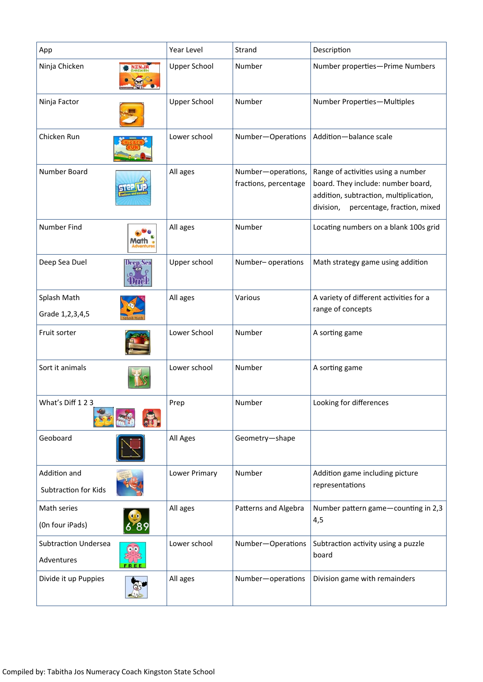| App                         | Year Level          | Strand                                      | Description                                                                                                                                                    |
|-----------------------------|---------------------|---------------------------------------------|----------------------------------------------------------------------------------------------------------------------------------------------------------------|
| Ninja Chicken<br>NINJA      | <b>Upper School</b> | Number                                      | Number properties-Prime Numbers                                                                                                                                |
| Ninja Factor                | <b>Upper School</b> | Number                                      | Number Properties-Multiples                                                                                                                                    |
| Chicken Run                 | Lower school        | Number-Operations                           | Addition-balance scale                                                                                                                                         |
| Number Board                | All ages            | Number-operations,<br>fractions, percentage | Range of activities using a number<br>board. They include: number board,<br>addition, subtraction, multiplication,<br>percentage, fraction, mixed<br>division, |
| Number Find                 | All ages            | Number                                      | Locating numbers on a blank 100s grid                                                                                                                          |
| Deep Sea Duel<br>Deep Sea   | Upper school        | Number-operations                           | Math strategy game using addition                                                                                                                              |
| Splash Math                 | All ages            | Various                                     | A variety of different activities for a                                                                                                                        |
| Grade 1,2,3,4,5             |                     |                                             | range of concepts                                                                                                                                              |
| Fruit sorter                | Lower School        | Number                                      | A sorting game                                                                                                                                                 |
| Sort it animals             | Lower school        | Number                                      | A sorting game                                                                                                                                                 |
| What's Diff 1 2 3           | Prep                | Number                                      | Looking for differences                                                                                                                                        |
| Geoboard                    | All Ages            | Geometry-shape                              |                                                                                                                                                                |
| Addition and                | Lower Primary       | Number                                      | Addition game including picture                                                                                                                                |
| Subtraction for Kids        |                     |                                             | representations                                                                                                                                                |
| Math series                 | All ages            | Patterns and Algebra                        | Number pattern game-counting in 2,3                                                                                                                            |
| (On four iPads)             |                     |                                             | 4,5                                                                                                                                                            |
| <b>Subtraction Undersea</b> | Lower school        | Number-Operations                           | Subtraction activity using a puzzle                                                                                                                            |
| Adventures                  |                     |                                             | board                                                                                                                                                          |
| Divide it up Puppies        | All ages            | Number-operations                           | Division game with remainders                                                                                                                                  |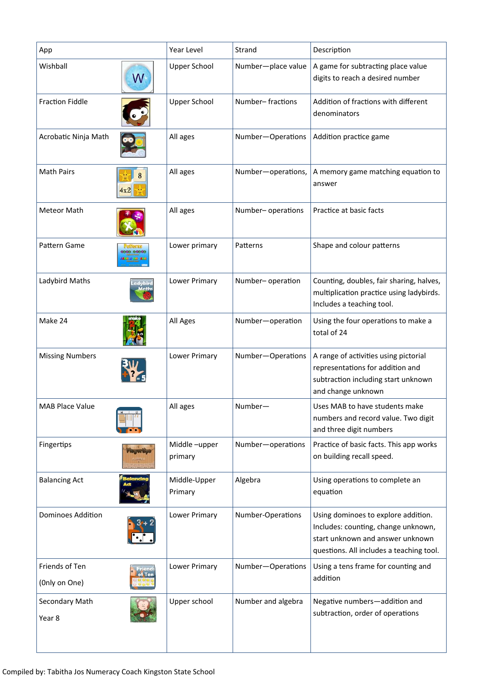| App                             | Year Level              | Strand             | Description                                                                                                                                                |
|---------------------------------|-------------------------|--------------------|------------------------------------------------------------------------------------------------------------------------------------------------------------|
| Wishball<br>W                   | <b>Upper School</b>     | Number-place value | A game for subtracting place value<br>digits to reach a desired number                                                                                     |
| <b>Fraction Fiddle</b>          | <b>Upper School</b>     | Number-fractions   | Addition of fractions with different<br>denominators                                                                                                       |
| Acrobatic Ninja Math            | All ages                | Number-Operations  | Addition practice game                                                                                                                                     |
| <b>Math Pairs</b><br>4x2        | All ages                | Number-operations, | A memory game matching equation to<br>answer                                                                                                               |
| Meteor Math                     | All ages                | Number-operations  | Practice at basic facts                                                                                                                                    |
| Pattern Game<br>1000 0000       | Lower primary           | Patterns           | Shape and colour patterns                                                                                                                                  |
| Ladybird Maths                  | Lower Primary           | Number-operation   | Counting, doubles, fair sharing, halves,<br>multiplication practice using ladybirds.<br>Includes a teaching tool.                                          |
| Make 24                         | All Ages                | Number-operation   | Using the four operations to make a<br>total of 24                                                                                                         |
| <b>Missing Numbers</b>          | Lower Primary           | Number-Operations  | A range of activities using pictorial<br>representations for addition and<br>subtraction including start unknown<br>and change unknown                     |
| MAB Place Value                 | All ages                | Number-            | Uses MAB to have students make<br>numbers and record value. Two digit<br>and three digit numbers                                                           |
| Fingertips                      | Middle-upper<br>primary | Number-operations  | Practice of basic facts. This app works<br>on building recall speed.                                                                                       |
| <b>Balancing Act</b>            | Middle-Upper<br>Primary | Algebra            | Using operations to complete an<br>equation                                                                                                                |
| <b>Dominoes Addition</b>        | Lower Primary           | Number-Operations  | Using dominoes to explore addition.<br>Includes: counting, change unknown,<br>start unknown and answer unknown<br>questions. All includes a teaching tool. |
| Friends of Ten<br>(Only on One) | Lower Primary           | Number-Operations  | Using a tens frame for counting and<br>addition                                                                                                            |
| Secondary Math<br>Year 8        | Upper school            | Number and algebra | Negative numbers-addition and<br>subtraction, order of operations                                                                                          |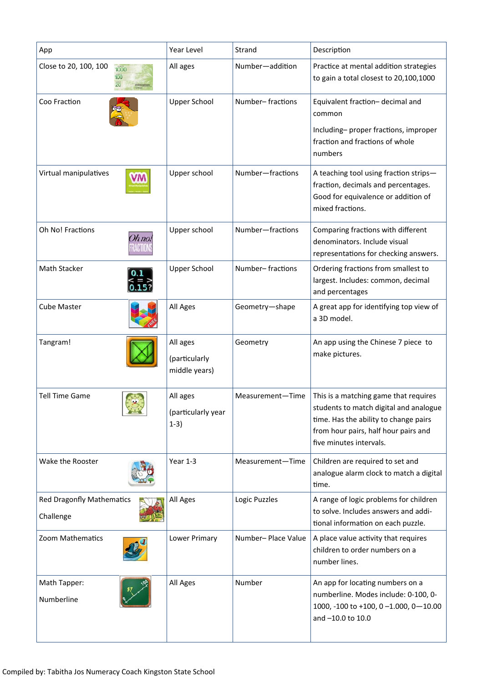| App                                           | Year Level                                 | Strand             | Description                                                                                                                                                                                 |
|-----------------------------------------------|--------------------------------------------|--------------------|---------------------------------------------------------------------------------------------------------------------------------------------------------------------------------------------|
| Close to 20, 100, 100<br>1000                 | All ages                                   | Number-addition    | Practice at mental addition strategies<br>to gain a total closest to 20,100,1000                                                                                                            |
| Coo Fraction                                  | <b>Upper School</b>                        | Number-fractions   | Equivalent fraction- decimal and<br>common<br>Including-proper fractions, improper<br>fraction and fractions of whole<br>numbers                                                            |
| Virtual manipulatives                         | Upper school                               | Number-fractions   | A teaching tool using fraction strips-<br>fraction, decimals and percentages.<br>Good for equivalence or addition of<br>mixed fractions.                                                    |
| Oh No! Fractions<br>Ih no.                    | Upper school                               | Number-fractions   | Comparing fractions with different<br>denominators. Include visual<br>representations for checking answers.                                                                                 |
| Math Stacker                                  | <b>Upper School</b>                        | Number-fractions   | Ordering fractions from smallest to<br>largest. Includes: common, decimal<br>and percentages                                                                                                |
| <b>Cube Master</b>                            | All Ages                                   | Geometry-shape     | A great app for identifying top view of<br>a 3D model.                                                                                                                                      |
| Tangram!                                      | All ages<br>(particularly<br>middle years) | Geometry           | An app using the Chinese 7 piece to<br>make pictures.                                                                                                                                       |
| <b>Tell Time Game</b>                         | All ages<br>(particularly year<br>$1-3)$   | Measurement-Time   | This is a matching game that requires<br>students to match digital and analogue<br>time. Has the ability to change pairs<br>from hour pairs, half hour pairs and<br>five minutes intervals. |
| Wake the Rooster                              | Year 1-3                                   | Measurement-Time   | Children are required to set and<br>analogue alarm clock to match a digital<br>time.                                                                                                        |
| <b>Red Dragonfly Mathematics</b><br>Challenge | All Ages                                   | Logic Puzzles      | A range of logic problems for children<br>to solve. Includes answers and addi-<br>tional information on each puzzle.                                                                        |
| Zoom Mathematics                              | Lower Primary                              | Number-Place Value | A place value activity that requires<br>children to order numbers on a<br>number lines.                                                                                                     |
| Math Tapper:<br>Numberline                    | All Ages                                   | Number             | An app for locating numbers on a<br>numberline. Modes include: 0-100, 0-<br>1000, -100 to +100, $0 - 1.000$ , $0 - 10.00$<br>and -10.0 to 10.0                                              |